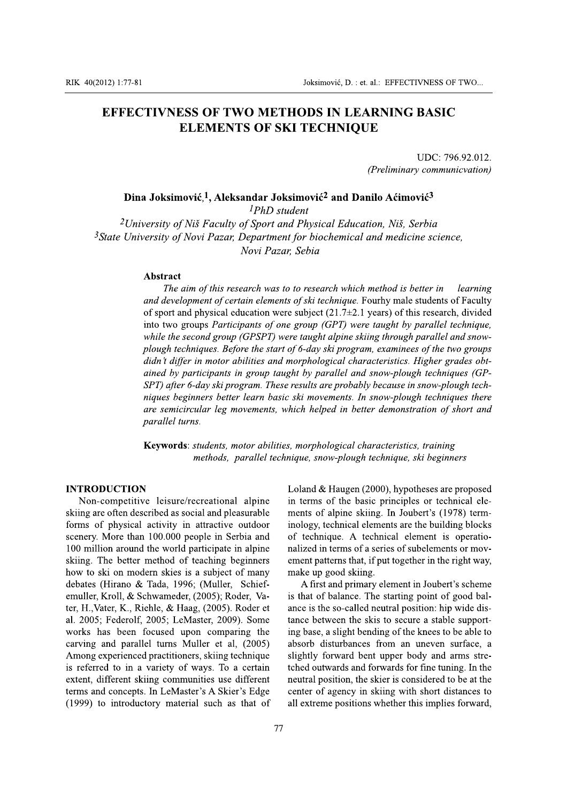## **EFFECTIVNESS OF TWO METHODS IN LEARNING BASIC ELEMENTS OF SKI TECHNIQUE**

UDC: 796.92.012. (Preliminary communicvation)

## Dina Joksimović,<sup>1</sup>, Aleksandar Joksimović<sup>2</sup> and Danilo Aćimović<sup>3</sup>

<sup>1</sup>PhD student

<sup>2</sup>University of Niš Faculty of Sport and Physical Education, Niš, Serbia  $3$ State University of Novi Pazar, Department for biochemical and medicine science, Novi Pazar, Sebia

## Abstract

The aim of this research was to to research which method is better in learning and development of certain elements of ski technique. Fourhy male students of Faculty of sport and physical education were subject  $(21.7\pm 2.1$  years) of this research, divided into two groups Participants of one group (GPT) were taught by parallel technique, while the second group (GPSPT) were taught alpine skiing through parallel and snowplough techniques. Before the start of 6-day ski program, examinees of the two groups didn't differ in motor abilities and morphological characteristics. Higher grades obtained by participants in group taught by parallel and snow-plough techniques (GP-SPT) after 6-day ski program. These results are probably because in snow-plough techniques beginners better learn basic ski movements. In snow-plough techniques there are semicircular leg movements, which helped in better demonstration of short and parallel turns.

Keywords: students, motor abilities, morphological characteristics, training methods, parallel technique, snow-plough technique, ski beginners

#### **INTRODUCTION**

Non-competitive leisure/recreational alpine skiing are often described as social and pleasurable forms of physical activity in attractive outdoor scenery. More than 100.000 people in Serbia and 100 million around the world participate in alpine skiing. The better method of teaching beginners how to ski on modern skies is a subject of many debates (Hirano & Tada, 1996; (Muller, Schiefemuller, Kroll, & Schwameder, (2005); Roder, Vater, H., Vater, K., Riehle, & Haag, (2005). Roder et al. 2005; Federolf, 2005; LeMaster, 2009). Some works has been focused upon comparing the carving and parallel turns Muller et al, (2005) Among experienced practitioners, skiing technique is referred to in a variety of ways. To a certain extent, different skiing communities use different terms and concepts. In LeMaster's A Skier's Edge (1999) to introductory material such as that of Loland & Haugen (2000), hypotheses are proposed in terms of the basic principles or technical elements of alpine skiing. In Joubert's (1978) terminology, technical elements are the building blocks of technique. A technical element is operationalized in terms of a series of subelements or movement patterns that, if put together in the right way, make up good skiing.

A first and primary element in Joubert's scheme is that of balance. The starting point of good balance is the so-called neutral position: hip wide distance between the skis to secure a stable supporting base, a slight bending of the knees to be able to absorb disturbances from an uneven surface, a slightly forward bent upper body and arms stretched outwards and forwards for fine tuning. In the neutral position, the skier is considered to be at the center of agency in skiing with short distances to all extreme positions whether this implies forward,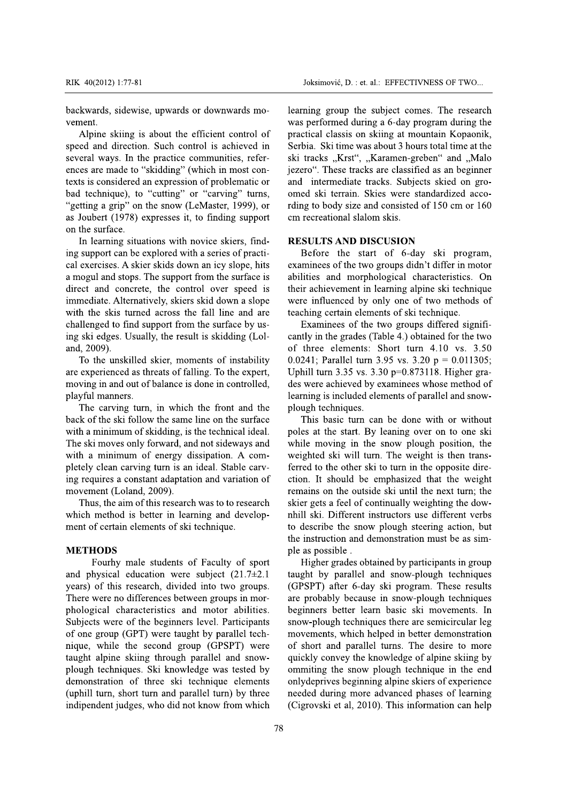backwards, sidewise, upwards or downwards movement.

Alpine skiing is about the efficient control of speed and direction. Such control is achieved in several ways. In the practice communities, references are made to "skidding" (which in most contexts is considered an expression of problematic or bad technique), to "cutting" or "carving" turns, "getting a grip" on the snow (LeMaster, 1999), or as Joubert (1978) expresses it, to finding support on the surface.

In learning situations with novice skiers, finding support can be explored with a series of practical exercises. A skier skids down an icy slope, hits a mogul and stops. The support from the surface is direct and concrete, the control over speed is immediate. Alternatively, skiers skid down a slope with the skis turned across the fall line and are challenged to find support from the surface by using ski edges. Usually, the result is skidding (Loland, 2009).

To the unskilled skier, moments of instability are experienced as threats of falling. To the expert, moving in and out of balance is done in controlled, playful manners.

The carving turn, in which the front and the back of the ski follow the same line on the surface with a minimum of skidding, is the technical ideal. The ski moves only forward, and not sideways and with a minimum of energy dissipation. A completely clean carving turn is an ideal. Stable carving requires a constant adaptation and variation of movement (Loland, 2009).

Thus, the aim of this research was to to research which method is better in learning and development of certain elements of ski technique.

#### **METHODS**

Fourhy male students of Faculty of sport and physical education were subject  $(21.7\pm2.1)$ years) of this research, divided into two groups. There were no differences between groups in morphological characteristics and motor abilities. Subjects were of the beginners level. Participants of one group (GPT) were taught by parallel technique, while the second group (GPSPT) were taught alpine skiing through parallel and snowplough techniques. Ski knowledge was tested by demonstration of three ski technique elements (uphill turn, short turn and parallel turn) by three indipendent judges, who did not know from which learning group the subject comes. The research was performed during a 6-day program during the practical classis on skiing at mountain Kopaonik, Serbia. Ski time was about 3 hours total time at the ski tracks "Krst", "Karamen-greben" and "Malo jezero". These tracks are classified as an beginner and intermediate tracks. Subjects skied on groomed ski terrain. Skies were standardized according to body size and consisted of 150 cm or 160 cm recreational slalom skis.

#### **RESULTS AND DISCUSION**

Before the start of 6-day ski program, examinees of the two groups didn't differ in motor abilities and morphological characteristics. On their achievement in learning alpine ski technique were influenced by only one of two methods of teaching certain elements of ski technique.

Examinees of the two groups differed significantly in the grades (Table 4.) obtained for the two of three elements: Short turn 4.10 vs. 3.50 0.0241; Parallel turn 3.95 vs. 3.20 p = 0.011305; Uphill turn 3.35 vs. 3.30 p=0.873118. Higher grades were achieved by examinees whose method of learning is included elements of parallel and snowplough techniques.

This basic turn can be done with or without poles at the start. By leaning over on to one ski while moving in the snow plough position, the weighted ski will turn. The weight is then transferred to the other ski to turn in the opposite direction. It should be emphasized that the weight remains on the outside ski until the next turn; the skier gets a feel of continually weighting the downhill ski. Different instructors use different verbs to describe the snow plough steering action, but the instruction and demonstration must be as simple as possible.

Higher grades obtained by participants in group taught by parallel and snow-plough techniques (GPSPT) after 6-day ski program. These results are probably because in snow-plough techniques beginners better learn basic ski movements. In snow-plough techniques there are semicircular leg movements, which helped in better demonstration of short and parallel turns. The desire to more quickly convey the knowledge of alpine skiing by ommiting the snow plough technique in the end onlydeprives beginning alpine skiers of experience needed during more advanced phases of learning (Cigrovski et al, 2010). This information can help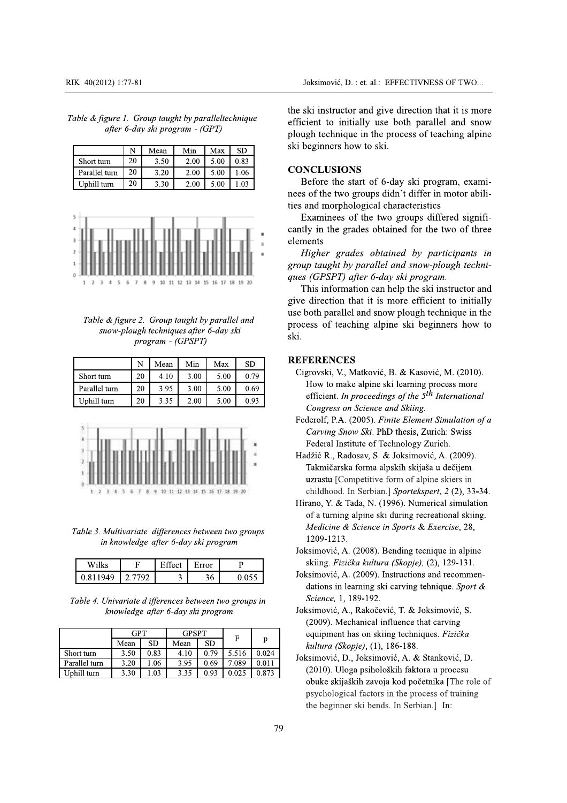| Table & figure 1. Group taught by paralleltechnique |                                 |  |
|-----------------------------------------------------|---------------------------------|--|
|                                                     | after 6-day ski program - (GPT) |  |

|               | N  | Mean | Min  | Max  | SD   |
|---------------|----|------|------|------|------|
| Short turn    | 20 | 3.50 | 2.00 | 5.00 | 0.83 |
| Parallel turn | 20 | 3.20 | 2.00 | 5.00 | 1.06 |
| Uphill turn   | 20 | 3.30 | 2.00 | 5.00 | 1 03 |



Table & figure 2. Group taught by parallel and snow-plough techniques after 6-day ski program - (GPSPT)

|               | N  | Mean | Min  | Max  | SD.  |
|---------------|----|------|------|------|------|
| Short turn    | 20 | 4.10 | 3.00 | 5.00 | 0.79 |
| Parallel turn | 20 | 3.95 | 3.00 | 5.00 | 0.69 |
| Uphill turn   | 20 | 3.35 | 2.00 | 5.00 | 0.93 |



Table 3. Multivariate differences between two groups in knowledge after 6-day ski program

| Wilk       |                      | $\neg$ ffect | Error |  |
|------------|----------------------|--------------|-------|--|
| 1040<br>×ю | $\sqrt{2}$<br>טדיד נ | $\checkmark$ | 36    |  |

Table 4. Univariate d ifferences between two groups in knowledge after 6-day ski program

|               | GPT  |      | <b>GPSPT</b> |      | F     |       |
|---------------|------|------|--------------|------|-------|-------|
|               | Mean | SD   | Mean         | SD   |       | p     |
| Short turn    | 3.50 | 0.83 | 4.10         | 0.79 | 5.516 | 0.024 |
| Parallel turn | 3.20 | 1.06 | 3.95         | 0.69 | 7.089 | 0.011 |
| Uphill turn   | 3.30 | .03  | 3.35         | 0.93 | 0.025 | 0.873 |

the ski instructor and give direction that it is more efficient to initially use both parallel and snow plough technique in the process of teaching alpine ski beginners how to ski.

#### **CONCLUSIONS**

Before the start of 6-day ski program, examinees of the two groups didn't differ in motor abilities and morphological characteristics

Examinees of the two groups differed significantly in the grades obtained for the two of three elements

Higher grades obtained by participants in group taught by parallel and snow-plough techniques (GPSPT) after 6-day ski program.

This information can help the ski instructor and give direction that it is more efficient to initially use both parallel and snow plough technique in the process of teaching alpine ski beginners how to ski.

## **REFERENCES**

- Cigrovski, V., Matković, B. & Kasović, M. (2010). How to make alpine ski learning process more efficient. In proceedings of the  $5<sup>th</sup>$  International Congress on Science and Skiing.
- Federolf, P.A. (2005). Finite Element Simulation of a Carving Snow Ski. PhD thesis, Zurich: Swiss Federal Institute of Technology Zurich.
- Hadžić R., Radosav, S. & Joksimović, A. (2009). Takmičarska forma alpskih skijaša u dečijem uzrastu [Competitive form of alpine skiers in childhood. In Serbian.] Sportekspert, 2 (2), 33-34.
- Hirano, Y. & Tada, N. (1996). Numerical simulation of a turning alpine ski during recreational skiing. Medicine & Science in Sports & Exercise, 28, 1209-1213.
- Joksimović, A. (2008). Bending tecnique in alpine skiing. Fizička kultura (Skopje), (2), 129-131.
- Joksimović, A. (2009). Instructions and recommendations in learning ski carving tehnique. Sport & Science, 1, 189-192.
- Joksimović, A., Rakočević, T. & Joksimović, S. (2009). Mechanical influence that carving equipment has on skiing techniques. Fizička kultura (Skopje), (1), 186-188.
- Joksimović, D., Joksimović, A. & Stanković, D. (2010). Uloga psiholoških faktora u procesu obuke skijaških zavoja kod početnika [The role of psychological factors in the process of training the beginner ski bends. In Serbian.] In: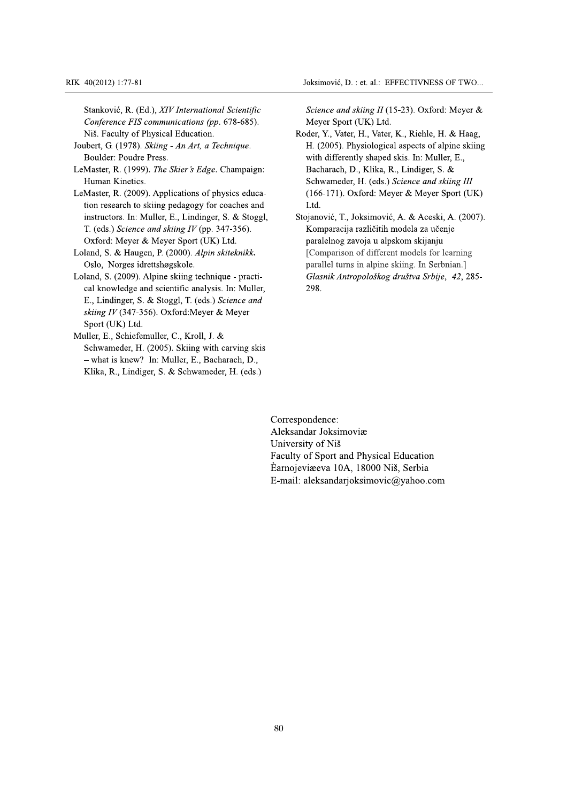Joksimović, D. : et. al.: EFFECTIVNESS OF TWO...

Stanković, R. (Ed.), XIV International Scientific Conference FIS communications (pp. 678-685). Niš. Faculty of Physical Education.

- Joubert, G. (1978). Skiing An Art, a Technique. Boulder: Poudre Press.
- LeMaster, R. (1999). The Skier's Edge. Champaign: Human Kinetics.
- LeMaster, R. (2009). Applications of physics education research to skiing pedagogy for coaches and instructors. In: Muller, E., Lindinger, S. & Stoggl, T. (eds.) Science and skiing IV (pp. 347-356). Oxford: Meyer & Meyer Sport (UK) Ltd.
- Loland, S. & Haugen, P. (2000). Alpin skiteknikk. Oslo, Norges idrettshøgskole.
- Loland, S. (2009). Alpine skiing technique practical knowledge and scientific analysis. In: Muller, E., Lindinger, S. & Stoggl, T. (eds.) Science and skiing IV (347-356). Oxford: Meyer & Meyer Sport (UK) Ltd.
- Muller, E., Schiefemuller, C., Kroll, J. & Schwameder, H. (2005). Skiing with carving skis - what is knew? In: Muller, E., Bacharach, D., Klika, R., Lindiger, S. & Schwameder, H. (eds.)

Science and skiing II (15-23). Oxford: Meyer & Meyer Sport (UK) Ltd.

- Roder, Y., Vater, H., Vater, K., Riehle, H. & Haag, H. (2005). Physiological aspects of alpine skiing with differently shaped skis. In: Muller, E., Bacharach, D., Klika, R., Lindiger, S. & Schwameder, H. (eds.) Science and skiing III  $(166-171)$ . Oxford: Meyer & Meyer Sport (UK) Ltd.
- Stojanović, T., Joksimović, A. & Aceski, A. (2007). Komparacija različitih modela za učenje paralelnog zavoja u alpskom skijanju [Comparison of different models for learning parallel turns in alpine skiing. In Serbnian.] Glasnik Antropološkog društva Srbije, 42, 285-298.

Correspondence: Aleksandar Joksimoviæ University of Niš Faculty of Sport and Physical Education Earnojeviæeva 10A, 18000 Niš, Serbia E-mail: aleksandarjoksimovic@yahoo.com